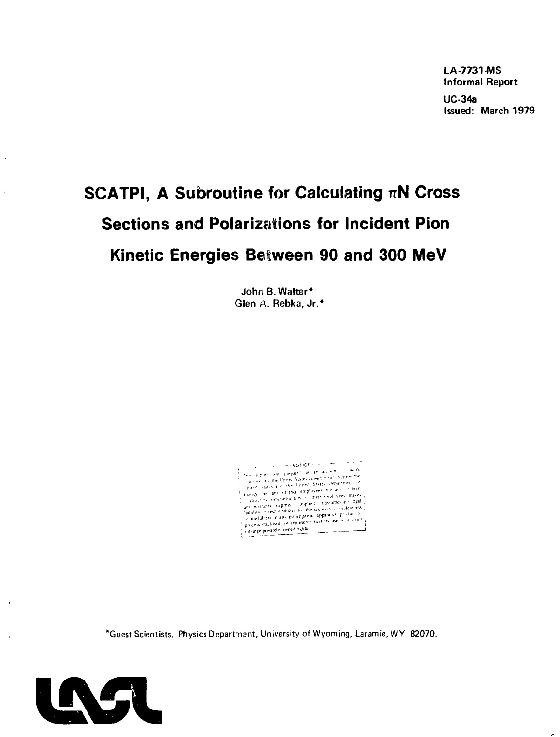LA-7731-MS Informal Report

UC-34a Issued: March 1979

# **SCATPI, A Subroutine for Calculating nN Cross Sections and Polarizations for Incident Pion Kinetic Energies Between 90 and 300 MeV**

John B.Walter\* Glen A. Rebka, Jr.\*



\*Guest Scientists. Physics Department, University of Wyoming, Laramie,WY 82070.



 $\lambda$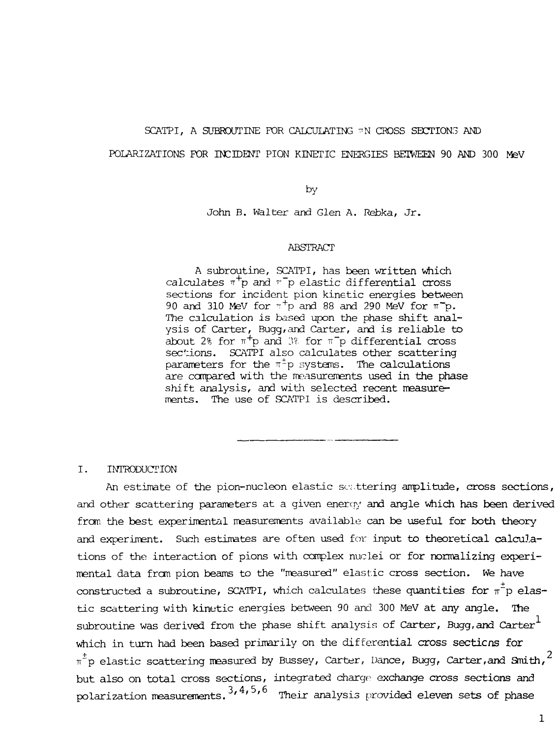### SCATPI, A SUBROUTINE FOR CALCULATING TN CROSS SECTIONS AND

### POLARIZATIONS FOR INCIDENT PION KINETIC ENERGIES BETWEEN 90 AND 300 MeV

### by

John B. Walter and Glen A. Rebka, Jr.

#### ABSTRACT

A subroutine, SCATPI, has been written which calculates  $\pi^+p$  and  $\tau^-p$  elastic differential cross sections for incident pion kinetic energies between 90 and 310 MeV for  $\pi^+$ p and 88 and 290 MeV for  $\pi^-$ p. The calculation is based upon the phase shift analysis of Carter, Bugg/and Carter, and is reliable to about 2% for  $\pi^+$ p and 3% for  $\pi^-$ p differential cross sections. SCATPI also calculates other scattering  $\frac{1}{P}$  parameters for the  $\pi^{\pm}$ p systems. The calculations are compared with the measurements used in the phase shift analysis, and with selected recent measurements. The use of SCATPI is described.

### I. INTRODUCTION

An estimate of the pion-nucleon elastic settering amplitude, cross sections, and other scattering parameters at a given energy and angle which has been derived from the best experimental measurements available can be useful for both theory and experiment. Such estimates are often used for input to theoretical calculations of the interaction of pions with complex nuclei or for normalizing experimental data from pion beams to the "measured" elastic cross section. We have constructed a subroutine, SCATPI, which calculates these quantities for  $\pi^2$ p elastic scattering with kinetic energies between 90 and 300 MeV at any angle. The subroutine was derived from the phase shift analysis of Carter, Bugg,and Carter $^\perp$ which in turn had been based primarily on the differential cross sections for  $\pi^{\pm}$ p elastic scattering measured by Bussey, Carter, Dance, Bugg, Carter,and Smith, $^2$ but also on total cross sections, integrated charge exchange cross sections and polarization measurements,  $3, 4, 5, 6$  Their analysis provided eleven sets of phase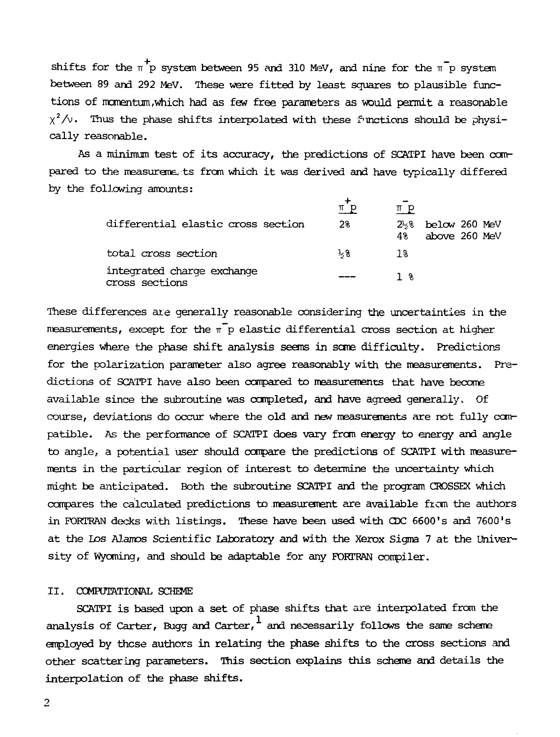shifts for the  $\pi^+$ p system between 95 and 310 MeV, and nine for the  $\pi^-$ p system between 89 and 292 MeV. These were fitted by least squares to plausible functions of momentum,which had as few free parameters as would permit a reasonable  $\chi^2/\!\!\!\sim$  . Thus the phase shifts interpolated with these functions should be physically reasonable.

As a minimum test of its accuracy, the predictions of SCATPI have been compared to the measurements from which it was derived and have typically differed by the following amounts:

| differential elastic cross section           | πр<br>2%      | $\pi$ p<br>$2\frac{1}{2}$ % below 260 MeV<br>above 260 MeV<br>4% |
|----------------------------------------------|---------------|------------------------------------------------------------------|
| total cross section                          | $\frac{1}{3}$ | 18                                                               |
| integrated charge exchange<br>cross sections |               | 1 *                                                              |

These differences ate generally reasonable considering the uncertainties in the measurements, except for the  $\pi^{\top}$ p elastic differential cross section at higher energies where the phase shift analysis seems in some difficulty. Predictions for the polarization parameter also agree reasonably with the measurements. Predictions of SCATPI have also been compared to measurements that have become available since the subroutine was completed, and have agreed generally. Of course, deviations do occur where the old and new measurements are not fully compatible. As the performance of SCATPI does vary from energy to energy and angle to angle, a potential user should compare the predictions of SCATPI with measurements in the particular region of interest to determine the uncertainty which might be anticipated. Both the subroutine 9CATPI and the program CROSSEX which compares the calculated predictions to measurement are available fron the authors in FORTRAN decks with listings. These have been used with CDC 6600's and 7600's at the Los Alamos Scientific Laboratory and with the Xerox Sigma 7 at the University of Wyoming, and should be adaptable for any FORTRAN compiler.

### II. COMPUTATIONAL SCHEME

SCATPI is based upon a set of phase shifts that are interpolated from the analysis of Carter, Bugg and Carter, and necessarily follows the same scheme employed by these authors in relating the phase shifts to the cross sections and other scattering parameters. This section explains this scheme and details the interpolation of the phase shifts.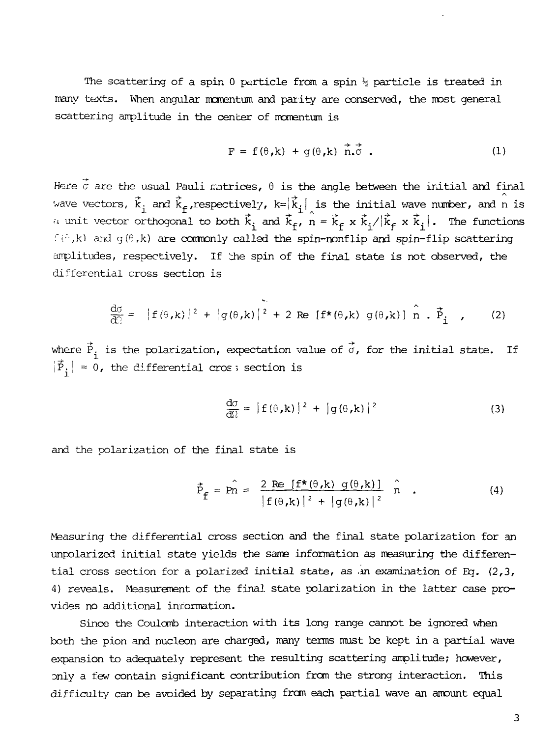The scattering of a spin 0 particle from a spin  $\frac{1}{2}$  particle is treated in many texts. When angular momentum and parity are conserved, the most general scattering amplitude in the center of momentum is

$$
F = f(\theta, k) + g(\theta, k) \vec{n} \cdot \vec{\sigma} . \qquad (1)
$$

Here  $\vec{c}$  are the usual Pauli matrices,  $\theta$  is the angle between the initial and final wave vectors,  $\vec{k}_1$  and  $\vec{k}_f$ , respectively,  $k= |\vec{k}_1|$  is the initial wave number, and n is a unit vector orthogonal to both  $\vec{k}_i$  and  $\vec{k}_f$ ,  $\hat{n} = \vec{k}_f \times \vec{k}_i / |\vec{k}_f \times \vec{k}_i|$ . The functions  $f(\hat{p},k)$  and  $g(\theta,k)$  are commonly called the spin-nonflip and spin-flip scattering anplitudes, respectively. If 'dne spin of the final state is not observed, the differential cross section is

$$
\frac{d\sigma}{d\Omega} = |f(\theta,k)|^2 + |g(\theta,k)|^2 + 2 \operatorname{Re} [f^*(\theta,k) g(\theta,k)] \stackrel{\wedge}{n} \cdot \vec{P}_i \quad , \qquad (2)
$$

where  $\vec{P}_i$  is the polarization, expectation value of  $\vec{\sigma}$ , for the initial state. If  $|\vec{P}_i| = 0$ , the differential cros; section is

$$
\frac{d\sigma}{d\Omega} = |f(\theta, \mathbf{k})|^2 + |g(\theta, \mathbf{k})|^2 \tag{3}
$$

and the polarization of the final state is

$$
\vec{P}_{\mathbf{f}} = \hat{P}_n = \frac{2 \text{ Re } [\mathbf{f}^{\star}(\theta, \mathbf{k}) \ \mathbf{g}(\theta, \mathbf{k})]}{|\mathbf{f}(\theta, \mathbf{k})|^2 + |\mathbf{g}(\theta, \mathbf{k})|^2} \hat{n} \quad . \tag{4}
$$

Measuring the differential cross section and the final state polarization for an unpolarized initial state yields the same information as measuring the differential cross section for a polarized initial state, as an examination of Eq.  $(2,3)$ , 4) reveals. Measurement of the final, state polarization in the latter case provides no additional iniormation.

Since the Coulomb interaction with its long range cannot be ignored when both the pion and nucleon are charged, many terms must be kept in a partial wave expansion to adequately represent the resulting scattering amplitude; however, only a few contain significant contribution from the strong interaction. This difficulty can be avoided by separating from each partial wave an amount equal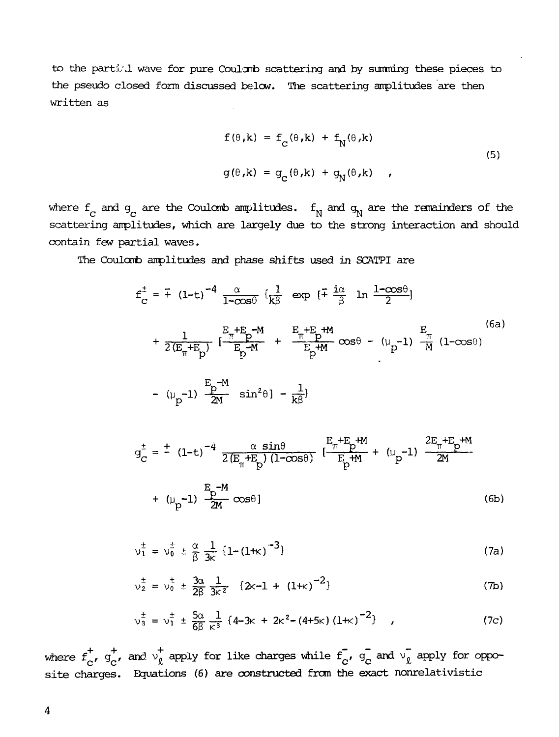to the partial wave for pure Coulomb scattering and by summing these pieces to the pseudo closed form discussed below. The scattering amplitudes are then written as

$$
f(\theta, k) = f_C(\theta, k) + f_N(\theta, k)
$$
  
\n
$$
g(\theta, k) = g_C(\theta, k) + g_N(\theta, k)
$$
 (5)

where  $f_c$  and  $g_c$  are the Coulomb amplitudes.  $f_N$  and  $g_N$  are the remainders of the scattering amplitudes, which are largely due to the strong interaction and should contain few partial waves.

The Coulomb amplitudes and phase shifts used in SCATPI are

$$
f_C^{\pm} = \pm (1-t)^{-4} \frac{\alpha}{1-\cos\theta} \left\{ \frac{1}{k\beta} \exp\left[ \frac{1}{k\beta} \ln \frac{1-\cos\theta}{2} \right] \right.
$$
  
+ 
$$
\frac{1}{2(E_{\pi}+E_{p})} \left[ \frac{E_{\pi}+E_{p}-M}{E_{p}-M} + \frac{E_{\pi}+E_{p}+M}{E_{p}+M} \cos\theta - (\mu_{p}-1) \frac{E_{\pi}}{M} (1-\cos\theta) \right]
$$
  
- 
$$
(\mu_{p}-1) \frac{E_{p}-M}{2M} \sin^{2}\theta \left[ -\frac{1}{k\beta} \right]
$$
 (6a)

$$
g_C^{\pm} = \pm (1-t)^{-4} \frac{\alpha \sin\theta}{2(E_{\pi} + E_p)(1-\cos\theta)} \left[ \frac{E_{\pi} + E_p + M}{E_p + M} + (\mu_p - 1) \frac{2E_{\pi} + E_p + M}{2M} \right]
$$
  
+  $(\mu_p - 1) \frac{E_p - M}{2M} \cos\theta$  (6b)

$$
v_1^{\pm} = v_0^{\pm} \pm \frac{\alpha}{\beta} \frac{1}{3k} \{1 - (1 + \kappa)^{-3}\}\tag{7a}
$$

$$
v_2^{\pm} = v_0^{\pm} \pm \frac{3\alpha}{2\beta} \frac{1}{3k^2} \{2k-1 + (1+k)^{-2}\}\tag{7b}
$$

$$
\nu_{3}^{\pm} = \nu_{1}^{\pm} \pm \frac{5\alpha}{6\beta} \frac{1}{\kappa^{3}} \left\{ 4 - 3\kappa + 2\kappa^{2} - (4 + 5\kappa) \left( 1 + \kappa \right)^{-2} \right\} , \qquad (7c)
$$

where  $f^+_n$ ,  $g^+_n$ , and  $v^+_0$  apply for like charges while  $f^-_n$ ,  $g^-_c$  and  $v^-_0$  apply for opposite charges. Equations (6) are constructed from the exact nonrelativistic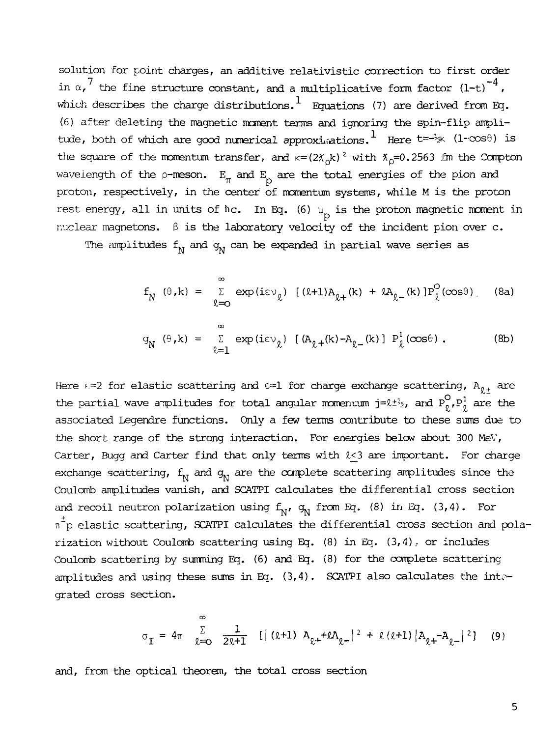solution for point charges, an additive relativistic correction to first order in  $\alpha$ ,<sup>7</sup> the fine structure constant, and a multiplicative form factor  $(1-t)^{-4}$ , which describes the charge distributions.  $^{\mathrm{l}}$  Equations (7) are derived from Eq. (6) after deleting the magnetic moment terms and ignoring the spin-flip amplitude, both of which are good numerical approximations. Here  $t=\frac{1}{2}$  (1-cos $\theta$ ) is the square of the momentum transfer, and  $k=(2\chi_{\rm c}k)^2$  with  $\chi_{\rm p}=0.2563$  im the Compton wave iength of the p-meson.  $E_{\pi}$  and  $E_{\rho}$  are the total energies of the pion and proton, respectively, in the center of momentum systems, while M is the proton rest energy, all in units of  $\hbar c$ . In Eq. (6)  $\mu_{\text{p}}$  is the proton magnetic moment in ruclear magnetons.  $\beta$  is the laboratory velocity of the incident pion over c.

The amplitudes  $f_M$  and  $g_M$  can be expanded in partial wave series as

$$
f_N(\theta, k) = \sum_{\ell=0}^{\infty} \exp(i\epsilon v_{\ell}) [(k+1)A_{\ell+}(k) + kA_{\ell-}(k)]P_{\ell}^O(\cos\theta)
$$
 (8a)

$$
g_N(\theta, k) = \sum_{\ell=1}^{\infty} \exp(i\epsilon v_\ell) \left[ (A_{\ell} + (k) - A_{\ell} - (k)) \right] P_{\ell}^1(\cos\theta).
$$
 (8b)

Here  $f=2$  for elastic scattering and  $f=1$  for charge exchange scattering,  $A_{g,t}$  are the partial wave amplitudes for total angular momentum j= $\ell \pm i_2$ , and  $P_0^O, P_0^1$  are the associated Legendre functions. Only a few terms contribute to these sums due to the short range of the strong interaction. For energies below about 300 MeV, Carter, Bugg and Carter find that only terms with  $k < 3$  are important. For charge exchange scattering,  $f_{\rm N}$  and  $g_{\rm N}$  are the complete scattering amplitudes since the Coulomb amplitudes vanish, and SCATPI calculates the differential cross section and recoil neutron polarization using  $f_N$ ,  $g_N$  from Eq. (8) in Eq. (3,4). For  $n^{\frac{1}{p}}$ p elastic scattering, SCATPI calculates the differential cross section and polarization without Coulomb scattering using Eq.  $(8)$  in Eq.  $(3,4)$ , or includes Coulomb scattering by summing Eq. (6) and Eq. (8) for the complete scattering amplitudes and using these sums in Eq.  $(3,4)$ . SCATPI also calculates the integrated cross section.

$$
\sigma_{\mathbf{I}} = 4\pi \sum_{\ell=0}^{\infty} \frac{1}{2\ell+1} \left[ |\left( \ell+1 \right) A_{\ell+} + \ell A_{\ell-} |^2 + \ell \left( \ell+1 \right) | A_{\ell+} - A_{\ell-} |^2 \right] \tag{9}
$$

and, from the optical theorem, the total cross section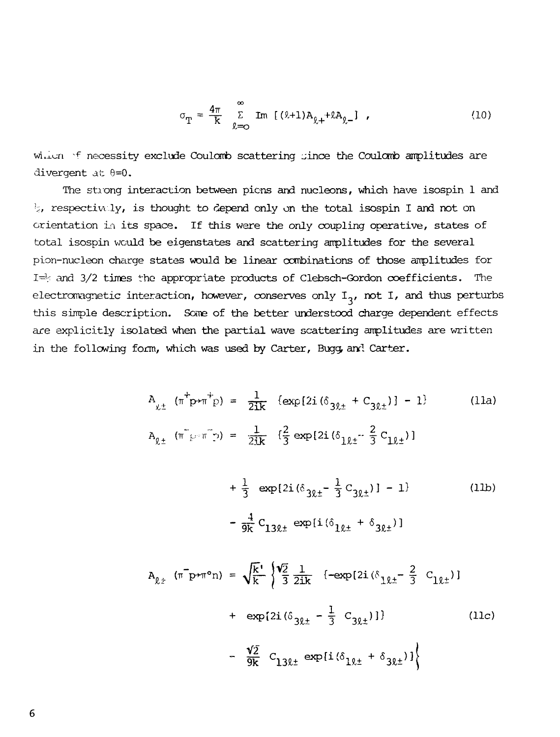$$
\sigma_{\rm T} = \frac{4\pi}{k} \sum_{\ell=0}^{\infty} \text{Im} \left[ (\ell+1) A_{\ell+} + \ell A_{\ell-} \right] \tag{10}
$$

which  $\forall$  necessity exclude Coulomb scattering gince the Coulomb amplitudes are divergent at  $\theta = 0$ .

The strong interaction between pions and nucleons, which have isospin 1 and  $\frac{1}{2}$ , respectively, is thought to depend only on the total isospin I and not on orientation in its space. If this were the only coupling operative, states of total isospin would be eigenstates and scattering amplitudes for the several pion-nucieon charge states would be linear combinations of those amplitudes for  $I\Rightarrow$  and 3/2 times the appropriate products of Clebsch-Gordon coefficients. The electromagnetic interaction, however, conserves only  $I_3$ , not I, and thus perturbs this simple description. Some of the better understood charge dependent effects are explicitly isolated when the partial wave scattering amplitudes are written in the following form, which was used by Carter, Bugg, and Carter.

$$
A_{\chi_{\pm}} \left( \pi^+ p + \pi^+ p \right) = \frac{1}{2ik} \left\{ \exp\{2i (\delta_{3\ell_{\pm}} + C_{3\ell_{\pm}}) \} - 1 \right\}
$$
 (11a)  

$$
A_{\ell_{\pm}} \left( \pi^- p + \pi^- p \right) = \frac{1}{2ik} \left\{ \frac{2}{3} \exp\{2i (\delta_{1\ell_{\pm}} - \frac{2}{3} C_{1\ell_{\pm}}) \} \right\}
$$

$$
+\frac{1}{3} \exp\{2i(\delta_{3\ell\pm} - \frac{1}{3}C_{3\ell\pm})\} - 1\}
$$
 (11b)  

$$
-\frac{4}{9k}C_{13\ell\pm} \exp\{i(\delta_{1\ell\pm} + \delta_{3\ell\pm})\}
$$

$$
A_{\ell_{\pm}} \left( \pi^{\top} p \ast \pi^{\circ} n \right) = \sqrt{\frac{k}{k}} \left\{ \frac{\sqrt{2}}{3} \frac{1}{2ik} \left\{ -\exp\left[ 2i \left( \delta_{1\ell_{\pm}} - \frac{2}{3} C_{1\ell_{\pm}} \right) \right\} \right. \right.+ \exp\left\{ 2i \left( \delta_{3\ell_{\pm}} - \frac{1}{3} C_{3\ell_{\pm}} \right) \right\} \right\}
$$
(11c)  
-  $\frac{\sqrt{2}}{9k} C_{13\ell_{\pm}} \exp\left\{ i \left( \delta_{1\ell_{\pm}} + \delta_{3\ell_{\pm}} \right) \right\}$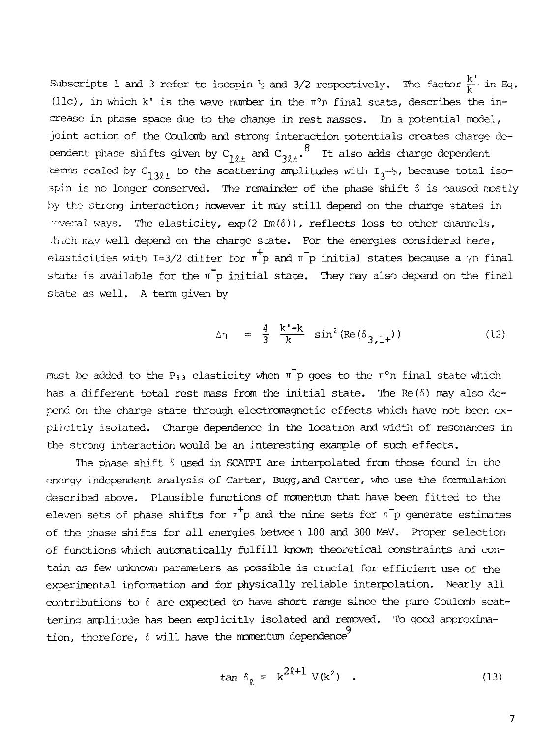$\mathbf k$  $S_{\text{max}}$  is  $\frac{1}{2}$  and 3 refer to isospin  $\frac{1}{2}$  and 3/2 respectively. The factor  $\frac{1}{2}$   $\frac{1}{2}$   $\frac{1}{2}$ (llc), in which k' is the wave number in the  $\pi^o$ r final suate, describes the in-<br>crease in phase space due to the change in rest masses. In a potential model, joint action of the Coulomb and strong interaction potentials creates charge dejoint action of the Coulomb and strong interaction potentials creates charge dephase shifts given  $z_1$   $z_{12}$  and  $z_{32\pm}$ . It also add due go dependent terms scaled by  $C_{13\ell\pm}$  to the scattering amplitudes with  $I_3^{\frac{1}{n-2}}$ , because total isospin is no longer conserved. The remainder of the phase shift  $\delta$  is caused mostly by the strong interaction; however it may still depend on the charge states in weral ways. The elasticity,  $exp(2Im(\delta))$ , reflects loss to other channels, .thich may well depend on the charge state. For the energies considered here, elasticities with I=3/2 differ for  $\pi^+ p$  and  $\pi^- p$  initial states because a  $\gamma n$  final state is available for the  $\pi$ p initial state. They may also depend on the final state as well. A term given by

$$
\Delta \eta = \frac{4}{3} \frac{k' - k}{k} \sin^2 (Re(\delta_{3,1+})) \tag{12}
$$

must be added to the P<sub>33</sub> elasticity when  $\pi$  p goes to the  $\pi$ °n final state which has a different total rest mass from the initial state. The  $Re(5)$  may also depend on the charge state through electromagnetic effects which have not been explicitly isolated. Charge dependence in the location and width of resonances in the strong interaction would be an interesting example of such effects.

The phase shift  $\delta$  used in SCATPI are interpolated from those found in the energy independent analysis of Carter, Bugg, and Carter, who use the formulation described above. Plausible functions of momentum that have been fitted to the eleven sets of phase shifts for  $\pi^+$ p and the nine sets for  $\pi^-$ p generate estimates of the phase shifts for all energies betwee \ 100 and 300 MeV. Proper selection of functions which automatically fulfill known theoretical constraints and contain as few unknown parameters as possible is crucial for efficient use of the experimental information and for physically reliable interpolation. Nearly all contributions to  $\delta$  are expected to have short range since the pure Coulomb scattering amplitude has been explicitly isolated and removed. To good approxima-9 tion, therefore, 6 will have the momentum dependence

$$
\tan \delta_{\rho} = k^{2\ell+1} V(k^2) \quad . \tag{13}
$$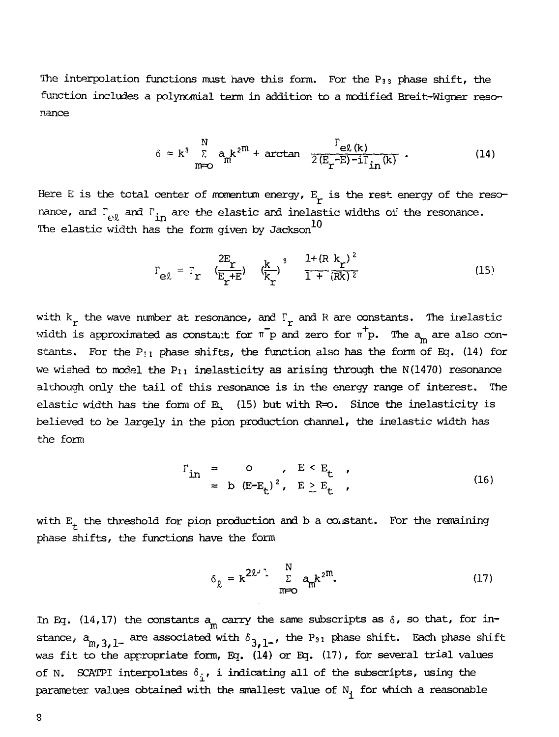The interpolation functions must have this form. For the  $P_{33}$  phase shift, the function includes a polynomial term in addition to a modified Breit-Wigner resonance

$$
\delta = k^3 \sum_{m=0}^{N} a_m k^{2m} + \arctan \frac{\Gamma_{e\ell(k)}}{2(E_r - E) - i\Gamma_{in}(k)}.
$$
 (14)

Here E is the total center of momentum energy,  $E_r$  is the rest energy of the resonance, and  $\Gamma_{\text{e},\ell}$  and  $\Gamma_{\text{in}}$  are the elastic and inelastic widths of the resonance. The elastic width has the form given by Jackson $^{10}$ 

$$
r_{e\ell} = r_r \left( \frac{2E_r}{E_r + E} \right) \left( \frac{k}{k_r} \right)^3 \frac{1 + (R k_r)^2}{1 + (R k)^2}
$$
 (15)

with  $k_r$  the wave number at resonance, and  $\Gamma_r$  and R are constants. The inelastic width is approximated as constant for  $\pi^- p$  and zero for  $\pi^+ p$ . The  $a_m$  are also constants. For the  $P_{11}$  phase shifts, the function also has the form of Eq. (14) for we wished to model the  $P_{11}$  inelasticity as arising through the N(1470) resonance although only the tail of this resonance is in the energy range of interest. The elastic width has the form of  $R<sub>1</sub>$  (15) but with  $R=0$ . Since the inelasticity is believed to be largely in the pion production channel, the inelastic width has  $b = b$  the form production channel, the inelastic width has  $b = b$  production channel, the inelastic width has  $b = b$ 

$$
\begin{array}{rcl}\n\Gamma_{\text{in}} &=& \mathsf{O} & , \quad \mathsf{E} < \mathsf{E}_{\mathsf{t}} \\
&=& \mathsf{b} & (\mathsf{E} - \mathsf{E}_{\mathsf{t}})^2 & , \quad \mathsf{E} \geq \mathsf{E}_{\mathsf{t}}\n\end{array} \tag{16}
$$

with  $E_t$  the threshold for pion production and b a constant. For the remaining phase shifts, the functions have the form

$$
\delta_{\ell} = k^{2\ell^j \cdot \frac{N}{L}} \sum_{m=0}^{N} a_m k^{2m}.
$$
 (17)

In Eq. (14,17) the constants  $a_m$  carry the same subscripts as  $\delta$ , so that, for in $s$  are associated with  $\hat{s}$  , the P<sub>31</sub> phase shift. Each phase shift.  $m, 3, 1$ –  $\cdots$   $\cdots$   $\cdots$   $\cdots$   $\cdots$   $\cdots$   $\cdots$   $\cdots$   $\cdots$ was fit to the appropriate form, Eq. (14) or Eq. (17), for several trial values of N. SCATPI interpolates  $\delta_i$ , i indicating all of the subscripts, using the parameter values obtained with the smallest value of  $N_f$  for which a reasonable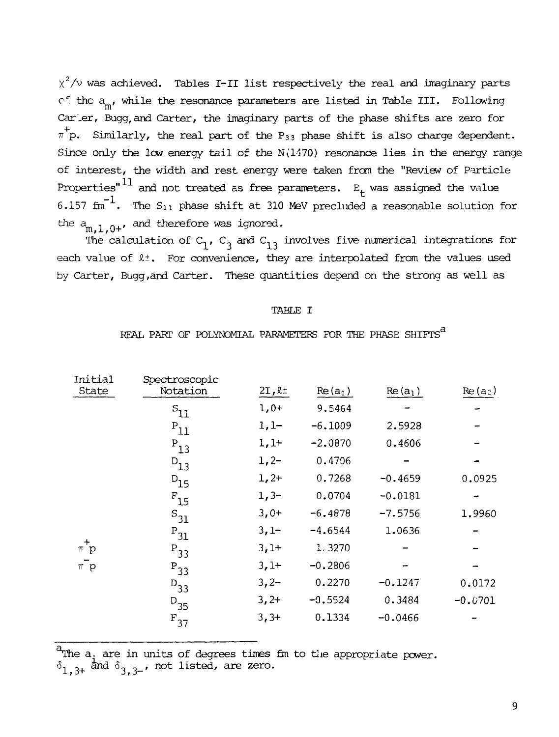$\chi^2/\nu$  was achieved. Tables I-II list respectively the real and imaginary parts  $c$  the  $a_{\rm m}$ , while the resonance parameters are listed in Table III. Following Carter, Bugg, and Carter, the imaginary parts of the phase shifts are zero for  $\pi^+$ p. Similarly, the real part of the P<sub>33</sub> phase shift is also charge dependent. Since only the low energy tail of the  $N(1470)$  resonance lies in the energy range of interest, the width and rest energy were taken from the "Review of Particle Properties" $^{11}$  and not treated as free parameters.  $E_t$  was assigned the value 6.157  $\mathrm{fm}^{-1}$ . The  $\mathrm{S}_{11}$  phase shift at 310 MeV precluded a reasonable solution for the  $a_{m,1,0^+}$ , and therefore was ignored.

The calculation of  $C_1$ ,  $C_3$  and  $C_{13}$  involves five numerical integrations for each value of  $l^{\pm}$ . For convenience, they are interpolated from the values used by Carter, Bugg,and Carter. These quantities depend on the strong as well as

### TABLE I

# REAL PART OF POLYNOMIAL PARAMETERS FOR THE PHASE  $\mathtt{SHIFTS}^\mathtt{G}$

| <b>Initial</b><br>State | Spectroscopic<br>Notation | $2I, l\pm$ | $Re(a_0)$ | $Re(a_1)$ | $Re(a_2)$ |
|-------------------------|---------------------------|------------|-----------|-----------|-----------|
|                         | $s_{11}$                  | $1,0+$     | 9.5464    |           |           |
|                         | $P_{11}$                  | $1,1-$     | $-6.1009$ | 2.5928    |           |
|                         | $P_{13}$                  | $1,1+$     | $-2.0870$ | 0.4606    |           |
|                         | $D_{13}$                  | $1, 2-$    | 0.4706    |           |           |
|                         | $D_{15}$                  | $1,2+$     | 0.7268    | $-0.4659$ | 0.0925    |
|                         | $F_{15}$                  | $1,3-$     | 0.0704    | $-0.0181$ |           |
|                         | $S_{31}$                  | $3,0+$     | $-6.4878$ | $-7.5756$ | 1.9960    |
|                         | $P_{31}$                  | $3,1-$     | $-4.6544$ | 1.0636    |           |
| $\ddot{}$<br>$\pi$ p    | $P_{33}$                  | $3,1+$     | 1.3270    |           |           |
| $\pi^- p$               | $P_{33}$                  | $3,1+$     | $-0.2806$ |           |           |
|                         | $D_{33}$                  | $3, 2-$    | 0.2270    | $-0.1247$ | 0.0172    |
|                         | $D_{35}$                  | $3, 2+$    | $-0.5524$ | 0.3484    | $-0.0701$ |
|                         | $F_{37}$                  | $3, 3+$    | 0.1334    | $-0.0466$ |           |

The a. are in units of degrees  $\delta_{1...3+}$  and  $\delta_{3...3-}$ , not listed, are times fm zero. to the appropriate power.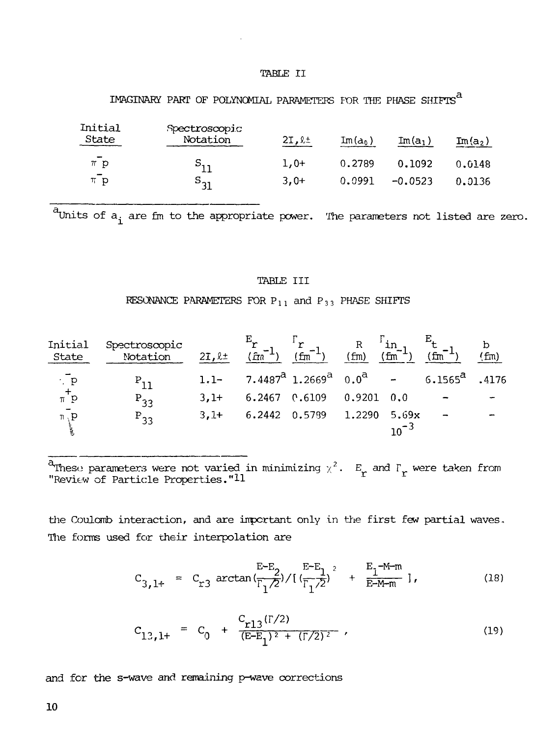### TABLE II

# IMAGINARY PART OF POLYNOMIAL PARAMETERS FOR THE PHASE SHIFTS  $^a$

| Initial<br>State                      | Spectroscopic<br>Notation  | $2I, l\pm$ | $Im(a_0)$ | $Im(a_1)$ | $\texttt{Im(a_2)}$ |
|---------------------------------------|----------------------------|------------|-----------|-----------|--------------------|
| $\overline{\phantom{a}}$<br>$\pi$ $p$ | $S_{11}$                   | $1.0+$     | 0.2789    | 0.1092    | 0.6148             |
| $\sim$<br>$\pi$ p                     | $\mathtt{s}_{\mathtt{31}}$ | $3.0+$     | 0.0991    | $-0.0523$ | 0.0136             |

 $\frac{a}{b}$  units of  $a_i$  are fm to the appropriate power. The parameters not listed are zero.

# TABLE III

RESONANCE PARAMETERS FOR  $P_{11}$  and  $P_{33}$  PHASE SHIFTS

| Initial<br>State  | Spectroscopic<br>Notation | $21, l \pm$ | $^{\prime}$ fra $^{\prime}$ | ' fm                                                                                                                               | (fm)   | fm        | fm                | (fm)  |
|-------------------|---------------------------|-------------|-----------------------------|------------------------------------------------------------------------------------------------------------------------------------|--------|-----------|-------------------|-------|
| $\cdot$ $p$       |                           | $1.1 -$     |                             | 7.4487 <sup><math>\overline{a}</math></sup> 1.2669 <sup><math>\overline{a}</math></sup> 0.0 <sup><math>\overline{a}</math></sup> - |        |           | 6.1565 $^{\tt a}$ | .4176 |
| $\tau^+$          | $P_{33}$                  | $3.1+$      |                             | 6.2467 $0.6109$ 0.9201 0.0                                                                                                         |        |           |                   |       |
| $\pi$ , ${\tt p}$ | $P_{33}$                  | $3,1+$      | 6.2442 0.5789               |                                                                                                                                    | 1.2290 | 5.69x     |                   |       |
|                   |                           |             |                             |                                                                                                                                    |        | $10^{-3}$ |                   |       |

<sup>a</sup>These parameters were not varied in minimizing  $\chi^2$ .  $E_{_{\bm{r}}}$  and  $\Gamma_{_{\bm{r}}}$  were taken from "Revi $\epsilon$ w of Particle Properties." $11$ 

the Coulomb interaction, and are important only in the first few partial waves. The forms used for their interpolation are

$$
C_{3,1+} = C_{r3} \arctan\left(\frac{E-E_2}{\Gamma_1/2}\right) / \left(\frac{E-E_1}{\Gamma_1/2}\right)^2 + \frac{E_1^{-M-m}}{E-M-m} \right],
$$
 (18)

$$
C_{13,1+} = C_0 + \frac{C_{r13}(\Gamma/2)}{(\text{E-E}_1)^2 + (\Gamma/2)^2},
$$
\n(19)

and for the s-wave and remaining p-wave corrections

10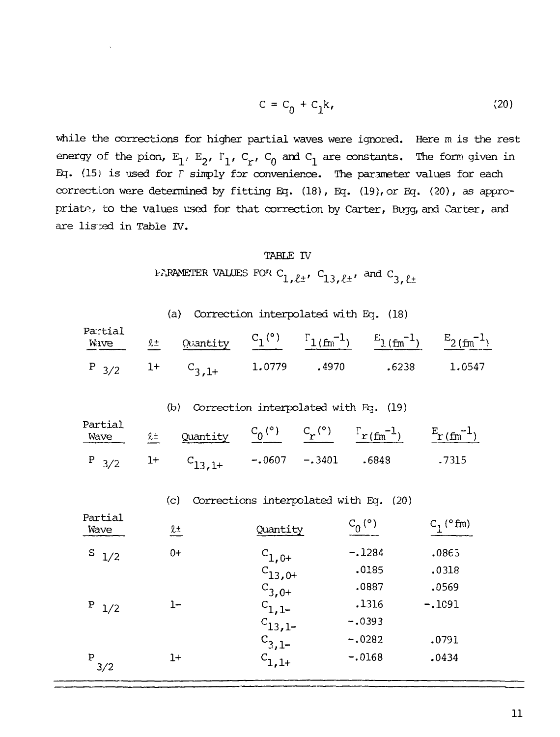$$
C = C_0 + C_1 k, \qquad (20)
$$

while the corrections for higher partial waves were ignored. Here m is the rest energy of the pion,  $E_1$ ,  $E_2$ ,  $\Gamma_1$ ,  $C_r$ ,  $C_0$  and  $C_1$  are constants. The form given in Eq. (15) is used for F simply for convenience. The parameter values for each correction were determined by fitting Eq. (18), Eq. (19), or Eq. (20), as appropriate, to the values used for that correction by Carter, Bugg, and Carter, and are listed in Table IV.

### TABLE IV

PARAMETER VALUES FOR C<sub>1</sub>,  $l_{\pm}$ , C<sub>13,  $l_{\pm}$ </sub>, and C<sub>3,  $l_{\pm}$ </sub>

| (a) Correction interpolated with Eq. (18) |  |  |
|-------------------------------------------|--|--|
|-------------------------------------------|--|--|

| Partial |  |  | Mive $\ell$ Quantity $C_1$ <sup>(°)</sup> $\Gamma_{1(fm^{-1})}$ $E_{1(fm^{-1})}$ $E_{2(fm^{-1})}$ |  |
|---------|--|--|---------------------------------------------------------------------------------------------------|--|
|         |  |  | $P_{3/2}$ 1+ $C_{3,1+}$ 1.0779 .4970 .6238 1.0547                                                 |  |

### (b) Correction interpolated with Eq. (19)

| Partial | Factual $\ell$ Quantity $C_0$ (°) $C_r$ (°) $\Gamma_r$ $(\text{fm}^{-1})$ $\frac{E_r (\text{fm}^{-1})}{\ell}$ |  |        |
|---------|---------------------------------------------------------------------------------------------------------------|--|--------|
|         | $P_{3/2}$ 1+ $C_{13,1+}$ -.0607 -.3401 .6848                                                                  |  | . 7315 |

|                 | (c)       | Corrections interpolated with Eq. |               | (20)                |
|-----------------|-----------|-----------------------------------|---------------|---------------------|
| Partial<br>Wave | <u>l±</u> | Quantity                          | $C_0^{\circ}$ | $C_1$ ( $\circ$ fm) |
| S<br>1/2        | $0+$      | $c_{1,0+}$                        | $-.1284$      | .0865               |
|                 |           | $C_{13,0+}$                       | .0185         | .0318               |
|                 |           | $C_{3,0+}$                        | .0887         | .0569               |
| P<br>1/2        | 1–        | $c_{1,1-}$                        | .1316         | $-.1091$            |
|                 |           | $c_{13,1}$                        | $-.0393$      |                     |
|                 |           | <sup>C</sup> 3,1-                 | $-.0282$      | .0791               |
| P<br>3/2        | $1+$      | 。<br>-<br>1,1+                    | $-.0168$      | .0434               |
|                 |           |                                   |               |                     |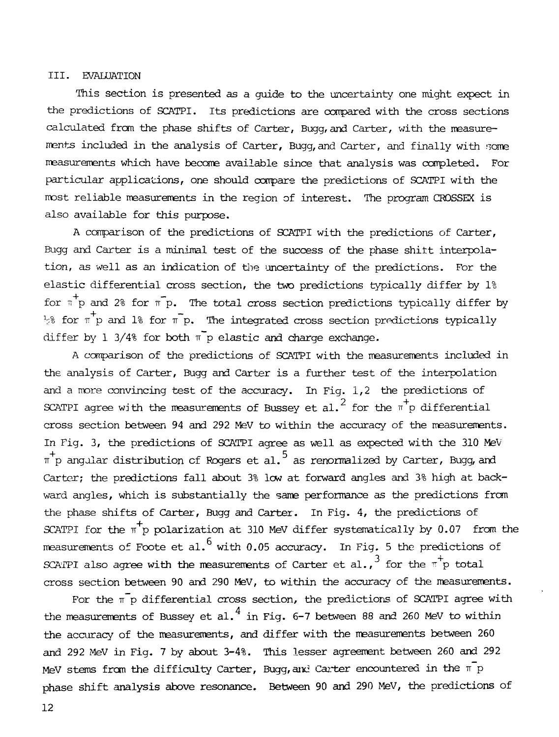# III. EVALUATION

This section is presented as a guide to the uncertainty one might expect in the predictions of SCATPI. Its predictions are compared with the cross sections calculated from the phase shifts of Carter, Bugg, and Carter, with the measurements included in the analysis of Carter, Bugg, and Carter, and finally with some measurements which have become available since that analysis was completed. For particular applications, one should compare the predictions of SCATPI with the most reliable measurements in the region of interest. The program CROSSEX is also available for this purpose.

A comparison of the predictions of SCATPI with the predictions of Carter, Bugg and Carter is a minimal test of the success of the phase shitt interpolation, as well as an indication of the uncertainty of the predictions. For the elastic differential cross section, the two predictions typically differ by 1% for  $\pi^+$  p and 2% for  $\pi^-$  p. The total cross section predictions typically differ by  $\frac{1}{2}$  for  $\pi$  p and 1% for  $\pi$  p. The integrated cross section predictions typically differ by 1 3/4% for both  $\bar{\mathbb{T}}_p$  elastic and charge exchange.

A comparison of the predictions of SCATPI with the measurements included in the analysis of Carter, Bugg and Carter is a further test of the interpolation and a more convincing test of the accuracy. In Fig.  $1,2$  the predictions of SCATPI agree with the measurements of Bussey et al.<sup>2</sup> for the  $\pi^+$ p differential cross section between 94 and 292 MeV to within the accuracy of the measurements. In Fig. 3, the predictions of SCATPI agree as well as expected with the 310 MeV  $\pi^+$ p angular distribution of Rogers et al.  $^5$  as renormalized by Carter, Bugg, and Carter; the predictions fall about 3% low at forward angles and 3% high at backward angles, which is substantially the same performance as the predictions from the phase shifts of Carter, Bugg and Carter. In Fig. 4, the predictions of SCATPI for the  $\pi^+$ p polarization at 310 MeV differ systematically by 0.07 from the measurements of Foote et al.<sup>6</sup> with 0.05 accuracy. In Fig. 5 the predictions of measurements of Foote et al. with  $\frac{1}{2}$  accuracy. In  $\frac{1}{3}$  is  $\frac{1}{4}$  $S$  and the agree with the measurements of Carter et al., for the r- $\frac{1}{r}$  total cross section between 90 and 290 MeV, to within the accuracy of the measurements.<br>For the  $\pi$  p differential cross section, the predictions of SCATPI agree with

the measurements of Bussey et al.<sup>4</sup> in Fig. 6-7 between 88 and 260 MeV to within the accuracy of the measurements, and differ with the measurements between 260 and 292 MeV in Fig. 7 by about 3-4%. This lesser agreement between 260 and 292 and 292 MeV in Fig. 7 by about 3-4%. This lesser agreement between 260 and 292 MeV stems from the difficulty Carter, Bugg,and Carter encountered in the TT p phase shift analysis above resonance. Between 90 and 290 MeV, the predictions of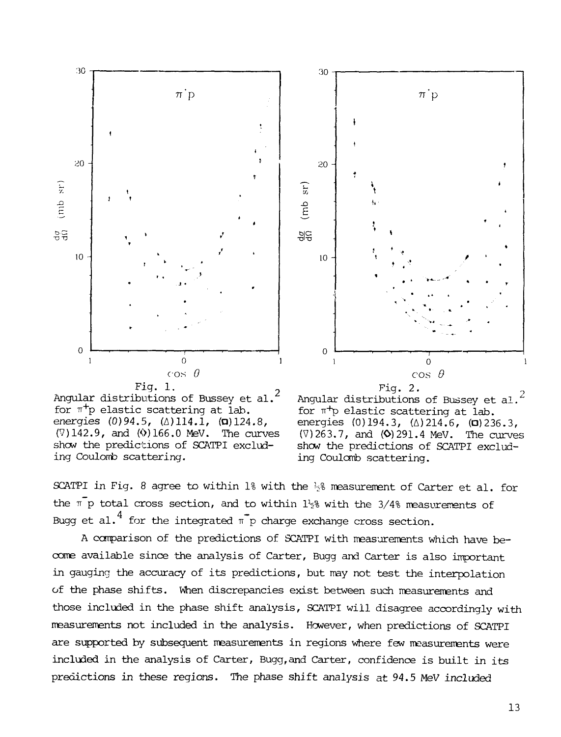



Angular distributions of Bussey et al.<sup>2</sup> for  $\pi^+$ p elastic scattering at lab. energies  $(0)94.5$ ,  $(\Delta)114.1$ ,  $(\Box)124.8$ ,  $(7)142.9$ , and  $(0)166.0$  MeV. The curves show the predictions of SCATPI excluding Coulomb scattering.



SCATPI in Fig. 8 agree to within 1% with the  $\frac{1}{2}$ % measurement of Carter et al. for the  $\bar{p}$  p total cross section, and to within  $1\frac{1}{2}$  with the 3/4% measurements of Bugg et al.<sup>4</sup> for the integrated  $\bar{\mathbb{T}}$ p charge exchange cross section.

A comparison of the predictions of SCATPI with measurements which have become available since the analysis of Carter, Bugg and Carter is also important in gauging the accuracy of its predictions, but may not test the interpolation of the phase shifts. When discrepancies exist between such measurements and those included in the phase shift analysis, SCATPI will disagree accordingly with measurements not included in the analysis. However, when predictions of SCATPI are supported by subsequent measurements in regions where few measurements were included in the analysis of Carter, Bugg,and Carter, confidence is built in its predictions in these regions. The phase shift analysis at 94.5 MeV included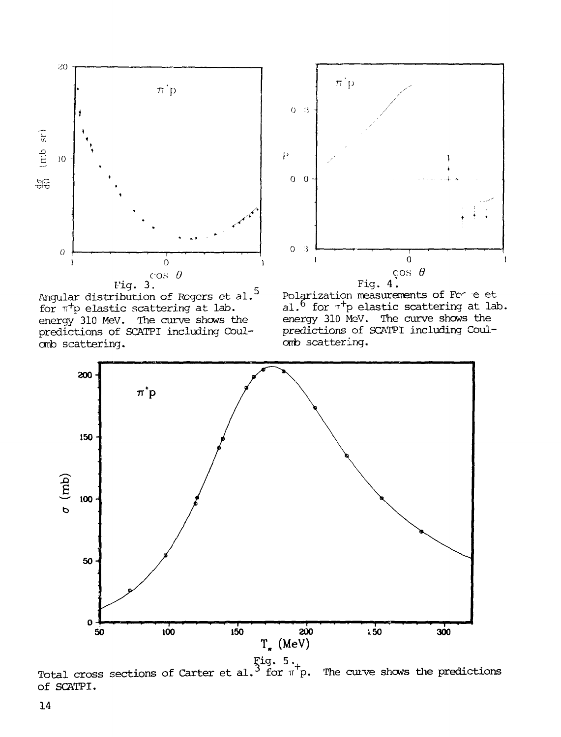



rig. 3.<sup>c</sup> Angular distribution of Rogers et al." for  $\pi^+$ p elastic scattering at lab. energy 310 MeV. The curve shows the predictions of SCATPI including Coulomb scattering.





Total cross sections of Carter et al. $\tilde{ }$  for  $\pi$  p. The curve shows the predictions of SCATPI.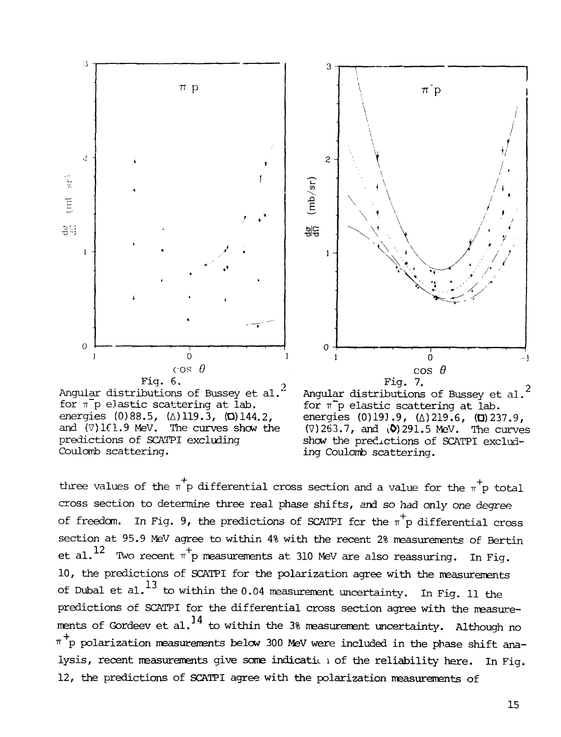





for  $\pi$ <sup>r</sup>p elastic scattering at lab. energies  $(0)191.9$ ,  $(\Delta)219.6$ ,  $(\Box)237.9$ ,  $(\nabla)$ 263.7, and  $(\nabla)$ 291.5 MeV. The curves show the predictions of SCATPI excluding Coulomb scattering.

three values of the  $\pi^+$ p differential cross section and a value for the  $\pi^+$ p total cross section to determine three real phase shifts, and so had only one degree of freedom. In Fig. 9, the predictions of SCATPI for the  $\pi^+$ p differential cross section at 95.9 MeV agree to within 4% with the recent 2% measurements of Bertin et al.  $^{12}$  Two recent  $\pi^{+}$ p measurements at 310 MeV are also reassuring. In Fig. 10, the predictions of SCATPI for the polarization agree with the measurements of Dubal et al.<sup>13</sup> to within the 0.04 measurement uncertainty. In Fig. 11 the predictions of SCATPI for the differential cross section agree with the measurements of Cordesy et al  $^{14}$  to within the 39 measurement importainty. Although the  $\pi^+$ p polarization measurements below 300 MeV were included in the phase shift ana-•"" p polarization measurements below 300 MeV were included in the phase shift ana- $\mathcal{L}$  , recent measurements give some indication of the reliability here. In Fig. 12, the predictions of SCATPI agree with the polarization measurements of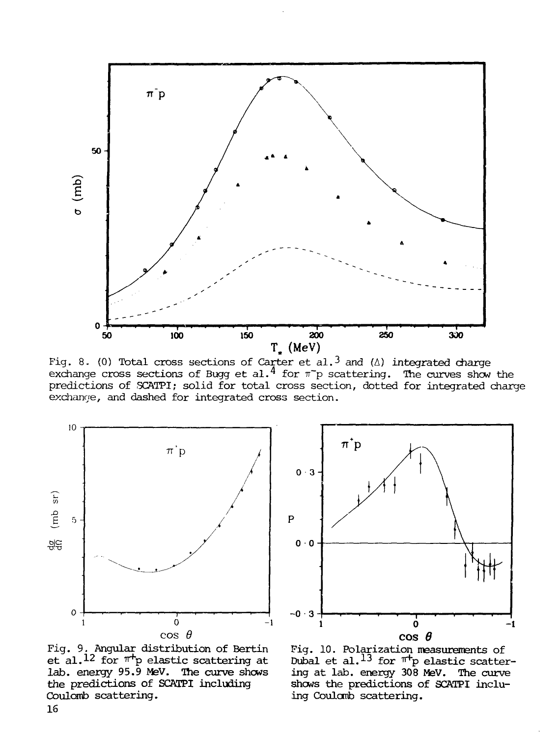

Fig. 8. (0) Total cross sections of Carter et al.<sup>3</sup> and ( $\Delta$ ) integrated charge exchange cross sections of Bugg et al.<sup>4</sup> for  $\pi$  p scattering. The curves show the predictions of SCATPI; solid for total cross section, dotted for integrated charge exchange, and dashed for integrated cross section.



Fig. 9. Angular distribution of Bertin et al.<sup>12</sup> for  $^{\pi +}$ p elastic scattering at lab. energy 95.9 MeV. The curve shows the predictions of SCAIPI including Coulomb scattering.



Pig. 10. Polarization measurements of Dubal et al.<sup>13</sup> for <sup>nr</sup>p elastic scattering at lab. energy 308 MeV. The curve shows the predictions of SCATPI induing Coulcnib scattering.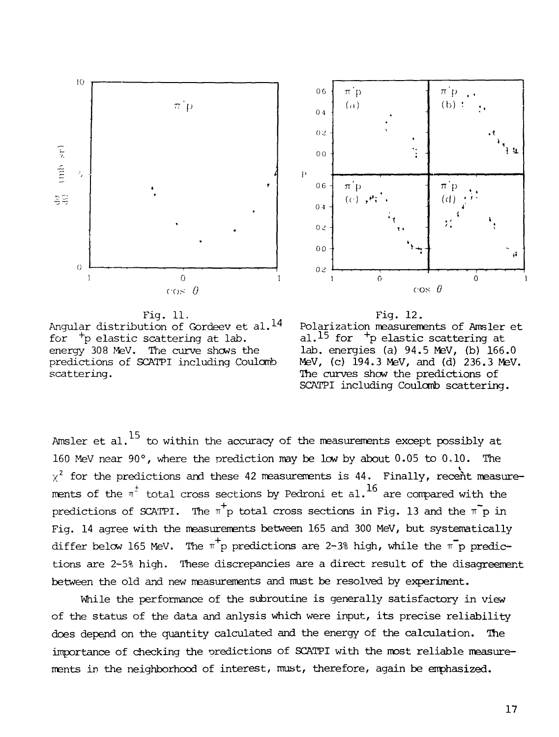



Fig. 11. Angular distribution of Gordeev et al.<sup>14</sup> for  $^+$ p elastic scattering at lab.  $\qquad \qquad$  al. $^{15}$  for energy 308 MeV. The curve shows the lab. energies (a) 94.5 MeV, (b) 166.0 predictions of SCATPI including Coulomb MeV, (c) 194.3 MeV, and (d) 236.3 MeV. scattering. The curves show the predictions of



Amsler et al. $^{15}$  to within the accuracy of the measurements except possibly at 160 MeV near 90°, where the prediction may be low by about 0.05 to 0,10. The  $\chi^2$  for the predictions and these 42 measurements is 44. Finally, recent measurements of the  $\pi^+$  total cross sections by Pedroni et al.<sup>16</sup> are compared with the predictions of SCATPI. The  $\pi^+$  total cross sections in Fig. 13 and the  $\pi^-$  p in Fig. 14 agree with the measurements between 165 and 300 MeV, but systematically differ below 165 MeV. The  $\pi^+$ p predictions are 2-3% high, while the  $\pi^-$ p predictions are 2-5% high. These discrepancies are a direct result of the disagreement between the old and new measurements and must be resolved by experiment.

While the performance of the subroutine is generally satisfactory in view of the status of the data and anlysis which were input, its precise reliability does depend on the quantity calculated and the energy of the calculation. The importance of checking the predictions of SCATPI with the most reliable measurements in the neighborhood of interest, must, therefore, again be emphasized. ments in the neighborhood of interest, must, therefore, again be emphasized.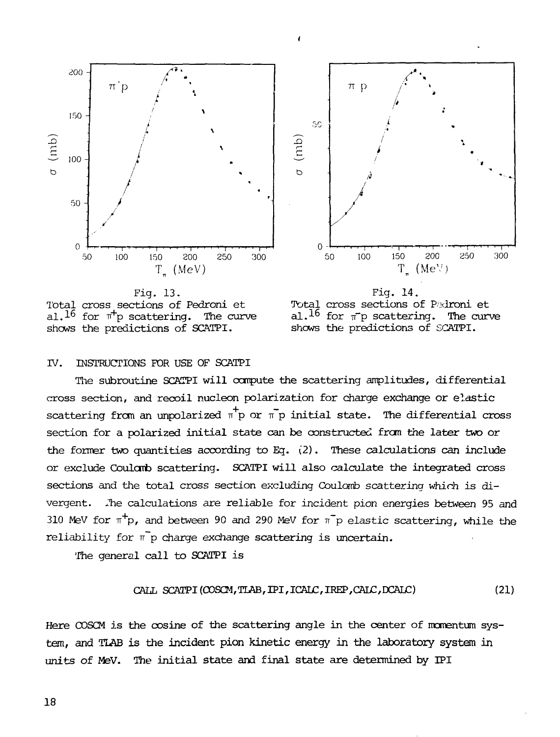





Fig. 14. Total cross sections of Padroni et al.<sup>16</sup> for  $\pi$ <sup>p</sup> scattering. The curve shows the predictions of SGATPI.

# IV. INSTRUCTIONS FOR USE OF SCATPI

The subroutine SCKTPI will canpute the scattering amplitudes, differential cross section, and recoil nucleon polarization for charge exchange or elastic scattering from an unpolarized  $\pi^+$ p or  $\pi^-$ p initial state. The differential cross section for a polarized initial state can be constructed from the later two or the former two quantities according to Eg. (2). These calculations can include or exclude Coularb scattering. SCATPI will also calculate the integrated cross sections and the total cross section excluding Coulomb scattering which is divergent. Jne calculations are reliable for incident pion energies between 95 and 310 MeV for  $\pi^+$ p, and between 90 and 290 MeV for  $\pi^-$ p elastic scattering, while the reliability for  $\bar{\mathbf{r}}$  p charge exchange scattering is uncertain.

The general call to SCATPI is

$$
CAIL SCATPI (COSCM, TLAB, IPI, ICALC, IREF, CAIC, DCAIC)
$$
 (21)

Here COSCM is the cosine of the scattering angle in the center of momentum system, and TLAB is the incident pion kinetic energy in the laboratory system in units of MeV. The initial state and final state are determined by IPI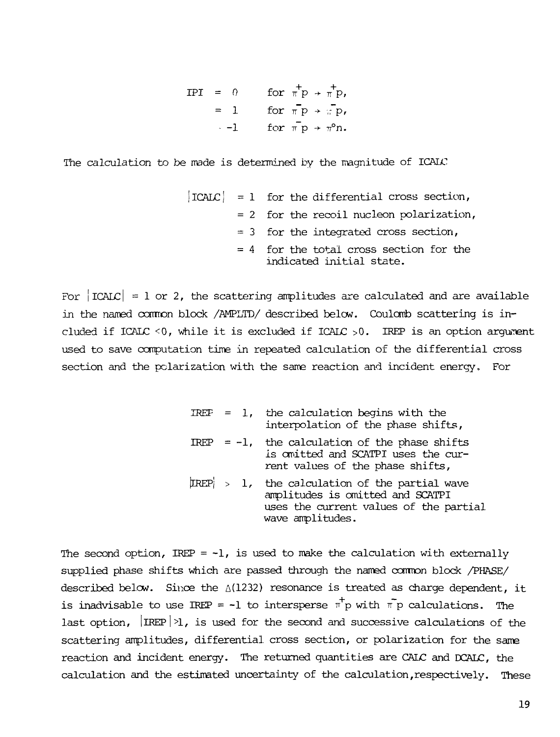$IPI = 0$  for  $\pi'P \rightarrow \pi'P$ = 1 —1 fo:  $f_{\rm O}$  $\pi$   $_{\rm F}$  $\pi$  p →  $\pi$ °n

The calculation to be made is determined by the magnitude of ICALC

|  | $ ICALC  = 1$ for the differential cross section,                     |
|--|-----------------------------------------------------------------------|
|  | $= 2$ for the recoil nucleon polarization,                            |
|  | $= 3$ for the integrated cross section,                               |
|  | $= 4$ for the total cross section for the<br>indicated initial state. |

For  $|ICAL| = 1$  or 2, the scattering amplitudes are calculated and are available in the named common block /AMPLTD/ described below. Coulomb scattering is included if ICALC <0, while it is excluded if ICALC >0. IREP is an option argument used to save computation time in repeated calculation of the differential cross section and the polarization with the same reaction and incident energy. For

|                     | IREF = $1$ , the calculation begins with the<br>interpolation of the phase shifts,                                                    |
|---------------------|---------------------------------------------------------------------------------------------------------------------------------------|
|                     | IREP = $-1$ , the calculation of the phase shifts<br>is omitted and SCATPI uses the cur-<br>rent values of the phase shifts,          |
| $\text{IREP} > 1$ , | the calculation of the partial wave<br>amplitudes is omitted and SCATPI<br>uses the current values of the partial<br>wave amplitudes. |

The second option, IREP =  $-1$ , is used to make the calculation with externally supplied phase shifts which are passed through the named common block /PHASE/ described below. Since the  $\triangle(1232)$  resonance is treated as charge dependent, it is inadvisable to use IREP = -1 to intersperse  $\pi^+$ p with  $\bar{\pi}$  p calculations. The last option,  $|IREP|>1$ , is used for the second and successive calculations of the scattering amplitudes, differential cross section, or polarization for the same reaction and incident energy. The returned quantities are CALC and DCALC, the calculation and the estimated uncertainty of the calculation,respectively. These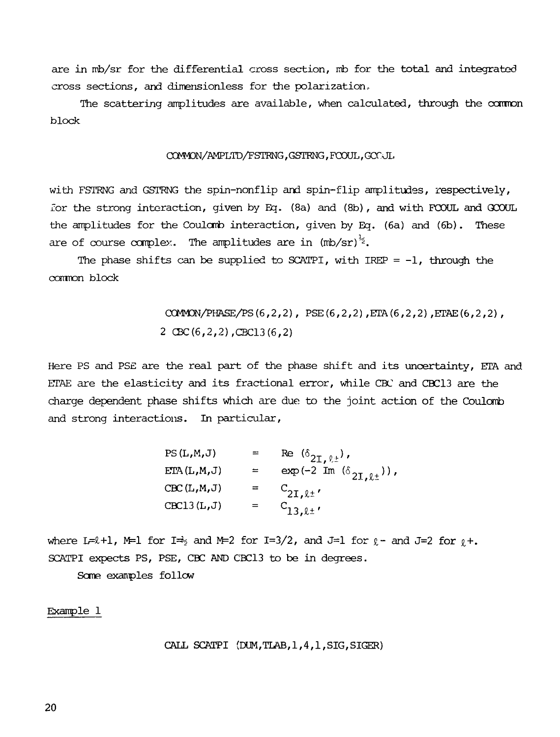are in mb/sr for the differential cross section, mb for the total and integrated cross sections, and dimensionless for the polarization.

The scattering amplitudes are available, when calculated, through the common block

### CX3yM0N/AMPLTD/PSTRNG, GSTRNG, FCOUL, GCC JL

with FSTRNG and GSTRNG the spin-nonflip and spin-flip amplitudes, respectively, for the strong interaction, given by Eq. (8a) and (8b), and with FGOUL and GCOUL the amplitudes for the Coulomb interaction, given by Eq. (6a) and (6b). These are of course complex. The amplitudes are in (mb/sr) $\approx$ .

The phase shifts can be supplied to SCATPI, with IREP  $= -1$ , through the common block

> CCMMCN/PHASE/PS(6,2,2), PSE(6,2,2),ETA(6,2,2),ETAE(6,2,2), 2 CBC(6,2,2),CBC13(6,2)

Here PS and PSE are the real part of the phase shift and its uncertainty, ETA and ETAE are the elasticity and its fractional error, while CBC and CBC13 are the charge dependent phase shifts which are due to the joint action of the Coulomb and strong interactions. In particular,

| PS(L,M,J)   |     | Re $(\delta_{2I,\ell\pm}),$                                              |
|-------------|-----|--------------------------------------------------------------------------|
| ETA(L,M,J)  | ≕   | $\exp\left(-2~\text{Im}~\left(\delta_{2\text{I},\ell\pm}\right)\right),$ |
| CBC(L,M,J)  | $=$ | $C_{2I,\ell\pm'}$                                                        |
| CBC13 (L,J) |     | $C_{13, l1}$                                                             |

where L= $\ell$ +1, M=1 for I= $\frac{1}{2}$  and M=2 for I=3/2, and J=1 for  $\ell$ - and J=2 for  $\ell$ +. SCATPI expects PS, PSE, CBC AND CBC13 to be in degrees.

Some examples follow

Example 1

CALL SCATPI (DUM,TLAB,1,4,1,SIG,SIGER)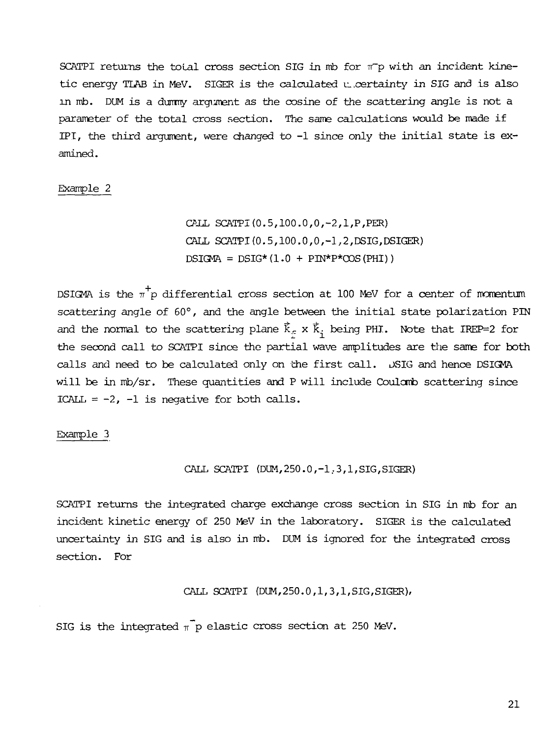SCATPI returns the total cross section SIG in mb for  $\pi^-$ p with an incident kinetic energy TLAB in MeV. SIGER is the calculated u. certainty in SIG and is also in mb. DUM is a dummy argument as the cosine of the scattering angle is not a parameter of the total cross section. The same calculations would be made if IPI, the third argument, were changed to  $-1$  since only the initial state is examined.

# Example 2

CALL SCATPI(0.5,100.0,0,-2,1,P,PER) CALL SCATPI(0.5,100.0,0,-1,2,DSIG,DSIGER)  $DSIGMA = DSIG*(1.0 + PM*P*COS(PHI))$ 

DSIGMA is the  $\pi^+$ p differential cross section at 100 MeV for a center of momentum scattering angle of 60°, and the angle between the initial state polarization PIN and the normal to the scattering plane  $\vec{k}_c$  x  $\vec{k}_i$  being PHI. Note that IREP=2 for the second call to SCATPI since the partial wave amplitudes are the same for both calls and need to be calculated only on the first call. DSIG and hence DSIGMA will be in mb/sr. These quantities and P will include Coulomb scattering since ICALL =  $-2$ ,  $-1$  is negative for both calls.

Example 3

CALL SCATPI (DIM,250.0,-1,3,1,SIG,SIGER)

SCATPI returns the integrated charge exchange cross section in SIG in mb for an incident kinetic energy of 250 MeV in the laboratory. SIGER is the calculated uncertainty in SIG and is also in mb. DUM is ignored for the integrated cross section. For

CALL SCATPI (DUM,250.0,1,3,1,SIG,SIGER),

SIG is the integrated  $\pi$  p elastic cross section at 250 MeV.